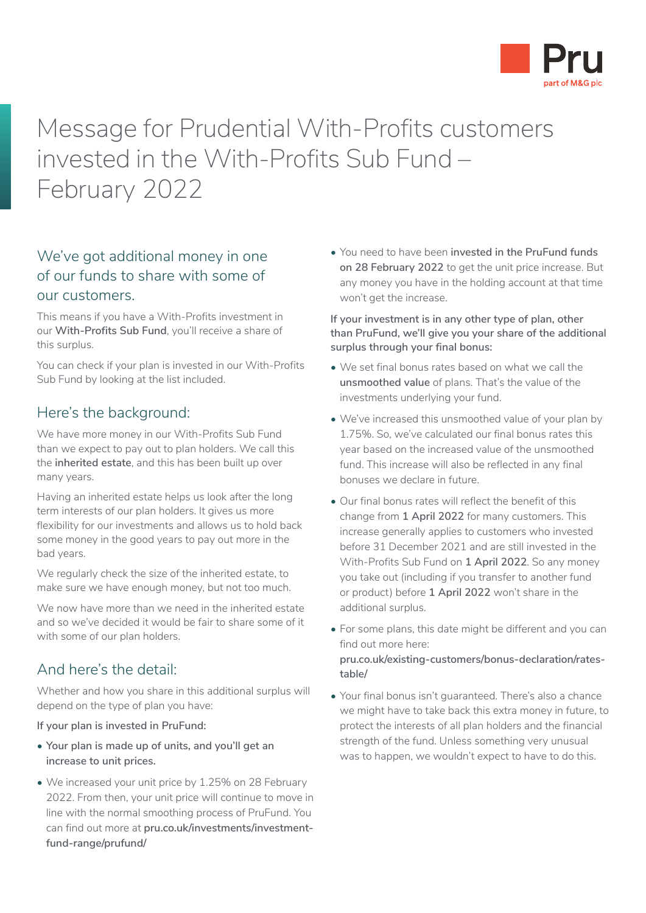

Message for Prudential With-Profits customers invested in the With-Profits Sub Fund – February 2022

# We've got additional money in one of our funds to share with some of our customers.

This means if you have a With-Profits investment in our **With-Profits Sub Fund**, you'll receive a share of this surplus.

You can check if your plan is invested in our With-Profits Sub Fund by looking at the list included.

#### Here's the background:

We have more money in our With-Profits Sub Fund than we expect to pay out to plan holders. We call this the **inherited estate**, and this has been built up over many years.

Having an inherited estate helps us look after the long term interests of our plan holders. It gives us more flexibility for our investments and allows us to hold back some money in the good years to pay out more in the bad years.

We regularly check the size of the inherited estate, to make sure we have enough money, but not too much.

We now have more than we need in the inherited estate and so we've decided it would be fair to share some of it with some of our plan holders.

### And here's the detail:

Whether and how you share in this additional surplus will depend on the type of plan you have:

#### **If your plan is invested in PruFund:**

- **Your plan is made up of units, and you'll get an increase to unit prices.**
- We increased your unit price by 1.25% on 28 February 2022. From then, your unit price will continue to move in line with the normal smoothing process of PruFund. You can find out more at **[pru.co.uk/investments/investment](https://www.pru.co.uk/investments/investment-fund-range/prufund/)[fund-range/prufund/](https://www.pru.co.uk/investments/investment-fund-range/prufund/)**

• You need to have been **invested in the PruFund funds on 28 February 2022** to get the unit price increase. But any money you have in the holding account at that time won't get the increase.

**If your investment is in any other type of plan, other than PruFund, we'll give you your share of the additional surplus through your final bonus:**

- We set final bonus rates based on what we call the **unsmoothed value** of plans. That's the value of the investments underlying your fund.
- We've increased this unsmoothed value of your plan by 1.75%. So, we've calculated our final bonus rates this year based on the increased value of the unsmoothed fund. This increase will also be reflected in any final bonuses we declare in future.
- Our final bonus rates will reflect the benefit of this change from **1 April 2022** for many customers. This increase generally applies to customers who invested before 31 December 2021 and are still invested in the With-Profits Sub Fund on **1 April 2022**. So any money you take out (including if you transfer to another fund or product) before **1 April 2022** won't share in the additional surplus.
- For some plans, this date might be different and you can find out more here: **[pru.co.uk/existing-customers/bonus-declaration/rates](https://www.pru.co.uk/existing-customers/bonus-declaration/rates-table/)[table/](https://www.pru.co.uk/existing-customers/bonus-declaration/rates-table/)**
- Your final bonus isn't guaranteed. There's also a chance we might have to take back this extra money in future, to protect the interests of all plan holders and the financial strength of the fund. Unless something very unusual was to happen, we wouldn't expect to have to do this.